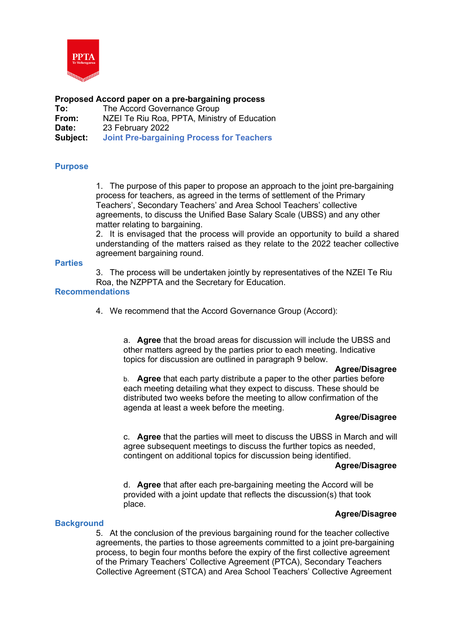

# **Proposed Accord paper on a pre-bargaining process**

| To:      | The Accord Governance Group                      |
|----------|--------------------------------------------------|
| From:    | NZEI Te Riu Roa, PPTA, Ministry of Education     |
| Date:    | 23 February 2022                                 |
| Subject: | <b>Joint Pre-bargaining Process for Teachers</b> |

# **Purpose**

1. The purpose of this paper to propose an approach to the joint pre-bargaining process for teachers, as agreed in the terms of settlement of the Primary Teachers', Secondary Teachers' and Area School Teachers' collective agreements, to discuss the Unified Base Salary Scale (UBSS) and any other matter relating to bargaining.

2. It is envisaged that the process will provide an opportunity to build a shared understanding of the matters raised as they relate to the 2022 teacher collective agreement bargaining round.

#### **Parties**

3. The process will be undertaken jointly by representatives of the NZEI Te Riu Roa, the NZPPTA and the Secretary for Education.

### **Recommendations**

4. We recommend that the Accord Governance Group (Accord):

a. **Agree** that the broad areas for discussion will include the UBSS and other matters agreed by the parties prior to each meeting. Indicative topics for discussion are outlined in paragraph 9 below.

#### **Agree/Disagree**

b. **Agree** that each party distribute a paper to the other parties before each meeting detailing what they expect to discuss. These should be distributed two weeks before the meeting to allow confirmation of the agenda at least a week before the meeting.

### **Agree/Disagree**

c. **Agree** that the parties will meet to discuss the UBSS in March and will agree subsequent meetings to discuss the further topics as needed, contingent on additional topics for discussion being identified.

#### **Agree/Disagree**

d. **Agree** that after each pre-bargaining meeting the Accord will be provided with a joint update that reflects the discussion(s) that took place.

# **Agree/Disagree**

### **Background**

5. At the conclusion of the previous bargaining round for the teacher collective agreements, the parties to those agreements committed to a joint pre-bargaining process, to begin four months before the expiry of the first collective agreement of the Primary Teachers' Collective Agreement (PTCA), Secondary Teachers Collective Agreement (STCA) and Area School Teachers' Collective Agreement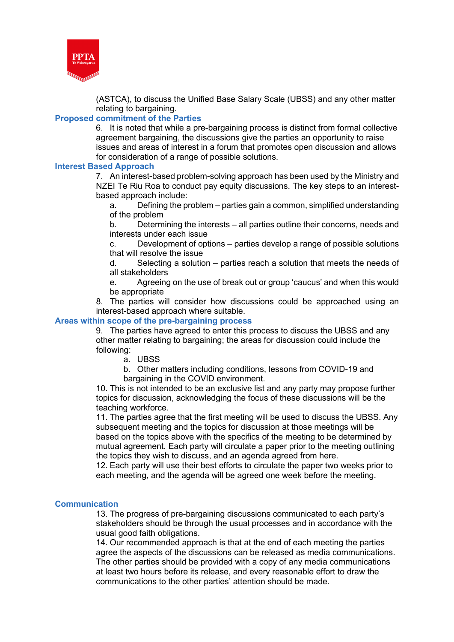

(ASTCA), to discuss the Unified Base Salary Scale (UBSS) and any other matter relating to bargaining.

## **Proposed commitment of the Parties**

6. It is noted that while a pre-bargaining process is distinct from formal collective agreement bargaining, the discussions give the parties an opportunity to raise issues and areas of interest in a forum that promotes open discussion and allows for consideration of a range of possible solutions.

### **Interest Based Approach**

7. An interest-based problem-solving approach has been used by the Ministry and NZEI Te Riu Roa to conduct pay equity discussions. The key steps to an interestbased approach include:

a. Defining the problem – parties gain a common, simplified understanding of the problem

b. Determining the interests – all parties outline their concerns, needs and interests under each issue

c. Development of options – parties develop a range of possible solutions that will resolve the issue

d. Selecting a solution – parties reach a solution that meets the needs of all stakeholders

e. Agreeing on the use of break out or group 'caucus' and when this would be appropriate 

8. The parties will consider how discussions could be approached using an interest-based approach where suitable.

### **Areas within scope of the pre-bargaining process**

9. The parties have agreed to enter this process to discuss the UBSS and any other matter relating to bargaining; the areas for discussion could include the following:

a. UBSS

b. Other matters including conditions, lessons from COVID-19 and bargaining in the COVID environment.

10. This is not intended to be an exclusive list and any party may propose further topics for discussion, acknowledging the focus of these discussions will be the teaching workforce.

11. The parties agree that the first meeting will be used to discuss the UBSS. Any subsequent meeting and the topics for discussion at those meetings will be based on the topics above with the specifics of the meeting to be determined by mutual agreement. Each party will circulate a paper prior to the meeting outlining the topics they wish to discuss, and an agenda agreed from here.

12. Each party will use their best efforts to circulate the paper two weeks prior to each meeting, and the agenda will be agreed one week before the meeting.

### **Communication**

13. The progress of pre-bargaining discussions communicated to each party's stakeholders should be through the usual processes and in accordance with the usual good faith obligations.

14. Our recommended approach is that at the end of each meeting the parties agree the aspects of the discussions can be released as media communications. The other parties should be provided with a copy of any media communications at least two hours before its release, and every reasonable effort to draw the communications to the other parties' attention should be made.